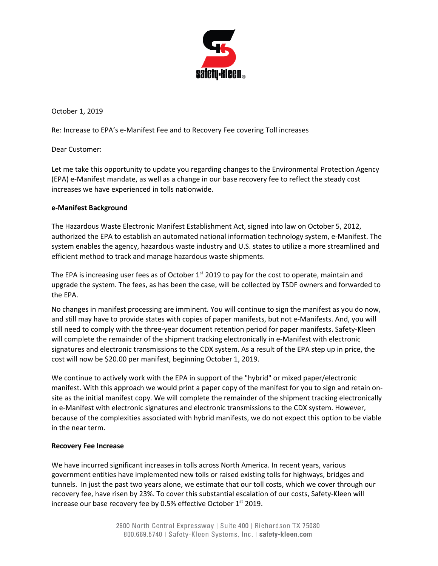

October 1, 2019

Re: Increase to EPA's e-Manifest Fee and to Recovery Fee covering Toll increases

Dear Customer:

Let me take this opportunity to update you regarding changes to the Environmental Protection Agency (EPA) e-Manifest mandate, as well as a change in our base recovery fee to reflect the steady cost increases we have experienced in tolls nationwide.

## **e-Manifest Background**

The Hazardous Waste Electronic Manifest Establishment Act, signed into law on October 5, 2012, authorized the EPA to establish an automated national information technology system, e-Manifest. The system enables the agency, hazardous waste industry and U.S. states to utilize a more streamlined and efficient method to track and manage hazardous waste shipments.

The EPA is increasing user fees as of October 1<sup>st</sup> 2019 to pay for the cost to operate, maintain and upgrade the system. The fees, as has been the case, will be collected by TSDF owners and forwarded to the EPA.

No changes in manifest processing are imminent. You will continue to sign the manifest as you do now, and still may have to provide states with copies of paper manifests, but not e-Manifests. And, you will still need to comply with the three-year document retention period for paper manifests. Safety-Kleen will complete the remainder of the shipment tracking electronically in e-Manifest with electronic signatures and electronic transmissions to the CDX system. As a result of the EPA step up in price, the cost will now be \$20.00 per manifest, beginning October 1, 2019.

We continue to actively work with the EPA in support of the "hybrid" or mixed paper/electronic manifest. With this approach we would print a paper copy of the manifest for you to sign and retain onsite as the initial manifest copy. We will complete the remainder of the shipment tracking electronically in e-Manifest with electronic signatures and electronic transmissions to the CDX system. However, because of the complexities associated with hybrid manifests, we do not expect this option to be viable in the near term.

## **Recovery Fee Increase**

We have incurred significant increases in tolls across North America. In recent years, various government entities have implemented new tolls or raised existing tolls for highways, bridges and tunnels. In just the past two years alone, we estimate that our toll costs, which we cover through our recovery fee, have risen by 23%. To cover this substantial escalation of our costs, Safety-Kleen will increase our base recovery fee by 0.5% effective October 1<sup>st</sup> 2019.